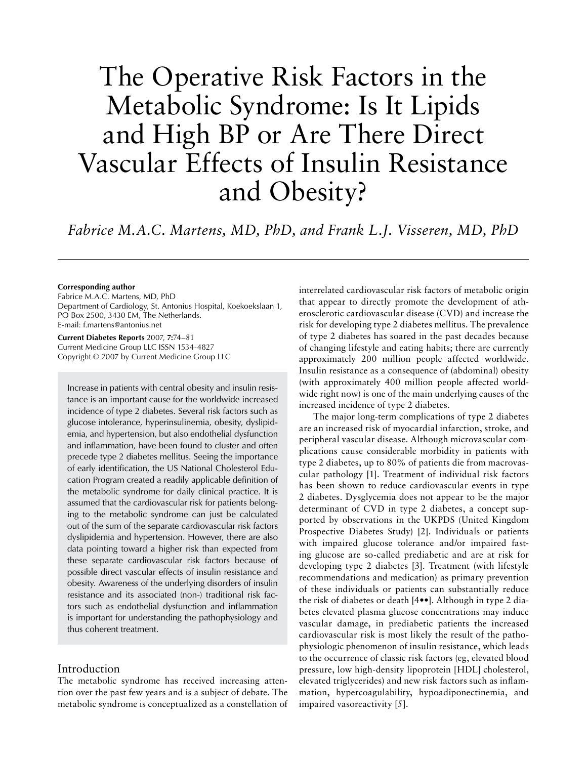# The Operative Risk Factors in the Metabolic Syndrome: Is It Lipids and High BP or Are There Direct Vascular Effects of Insulin Resistance and Obesity?

*Fabrice M.A.C. Martens, MD, PhD, and Frank L.J. Visseren, MD, PhD*

#### **Corresponding author**

Fabrice M.A.C. Martens, MD, PhD Department of Cardiology, St. Antonius Hospital, Koekoekslaan 1, PO Box 2500, 3430 EM, The Netherlands. E-mail: f.martens@antonius.net

**Current Diabetes Reports** 2007, **7:**74–81 Current Medicine Group LLC ISSN 1534-4827 Copyright © 2007 by Current Medicine Group LLC

Increase in patients with central obesity and insulin resistance is an important cause for the worldwide increased incidence of type 2 diabetes. Several risk factors such as glucose intolerance, hyperinsulinemia, obesity, dyslipidemia, and hypertension, but also endothelial dysfunction and inflammation, have been found to cluster and often precede type 2 diabetes mellitus. Seeing the importance of early identification, the US National Cholesterol Education Program created a readily applicable definition of the metabolic syndrome for daily clinical practice. It is assumed that the cardiovascular risk for patients belonging to the metabolic syndrome can just be calculated out of the sum of the separate cardiovascular risk factors dyslipidemia and hypertension. However, there are also data pointing toward a higher risk than expected from these separate cardiovascular risk factors because of possible direct vascular effects of insulin resistance and obesity. Awareness of the underlying disorders of insulin resistance and its associated (non-) traditional risk factors such as endothelial dysfunction and inflammation is important for understanding the pathophysiology and thus coherent treatment.

## Introduction

The metabolic syndrome has received increasing attention over the past few years and is a subject of debate. The metabolic syndrome is conceptualized as a constellation of interrelated cardiovascular risk factors of metabolic origin that appear to directly promote the development of atherosclerotic cardiovascular disease (CVD) and increase the risk for developing type 2 diabetes mellitus. The prevalence of type 2 diabetes has soared in the past decades because of changing lifestyle and eating habits; there are currently approximately 200 million people affected worldwide. Insulin resistance as a consequence of (abdominal) obesity (with approximately 400 million people affected worldwide right now) is one of the main underlying causes of the increased incidence of type 2 diabetes.

The major long-term complications of type 2 diabetes are an increased risk of myocardial infarction, stroke, and peripheral vascular disease. Although microvascular complications cause considerable morbidity in patients with type 2 diabetes, up to 80% of patients die from macrovascular pathology [1]. Treatment of individual risk factors has been shown to reduce cardiovascular events in type 2 diabetes. Dysglycemia does not appear to be the major determinant of CVD in type 2 diabetes, a concept supported by observations in the UKPDS (United Kingdom Prospective Diabetes Study) [2]. Individuals or patients with impaired glucose tolerance and/or impaired fasting glucose are so-called prediabetic and are at risk for developing type 2 diabetes [3]. Treatment (with lifestyle recommendations and medication) as primary prevention of these individuals or patients can substantially reduce the risk of diabetes or death [4••]. Although in type 2 diabetes elevated plasma glucose concentrations may induce vascular damage, in prediabetic patients the increased cardiovascular risk is most likely the result of the pathophysiologic phenomenon of insulin resistance, which leads to the occurrence of classic risk factors (eg, elevated blood pressure, low high-density lipoprotein [HDL] cholesterol, elevated triglycerides) and new risk factors such as inflammation, hypercoagulability, hypoadiponectinemia, and impaired vasoreactivity [5].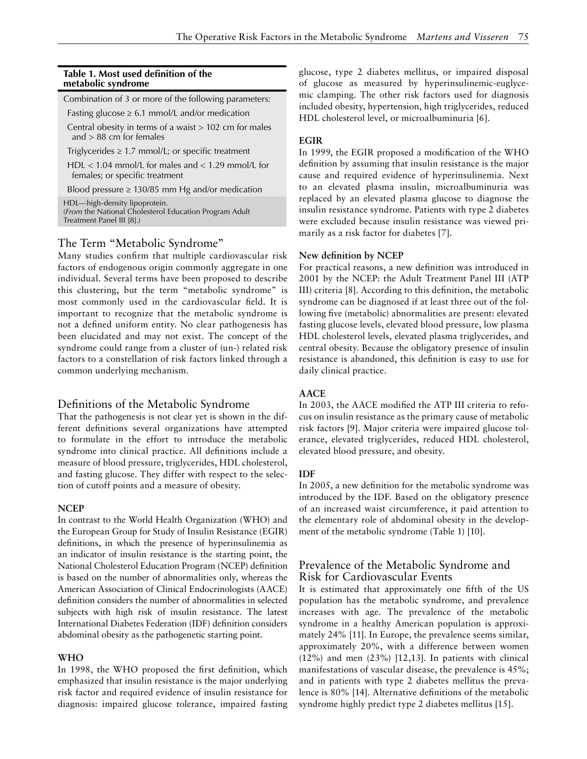## **Table 1. Most used definition of the metabolic syndrome**

Combination of 3 or more of the following parameters:

Fasting glucose  $\geq 6.1$  mmol/L and/or medication

Central obesity in terms of a waist > 102 cm for males and > 88 cm for females

Triglycerides  $\geq 1.7$  mmol/L; or specific treatment

HDL < 1.04 mmol/L for males and < 1.29 mmol/L for females; or specific treatment

Blood pressure  $\geq$  130/85 mm Hg and/or medication

HDL—high-density lipoprotein.

(*From* the National Cholesterol Education Program Adult Treatment Panel III [8].)

## The Term "Metabolic Syndrome"

Many studies confirm that multiple cardiovascular risk factors of endogenous origin commonly aggregate in one individual. Several terms have been proposed to describe this clustering, but the term "metabolic syndrome" is most commonly used in the cardiovascular field. It is important to recognize that the metabolic syndrome is not a defined uniform entity. No clear pathogenesis has been elucidated and may not exist. The concept of the syndrome could range from a cluster of (un-) related risk factors to a constellation of risk factors linked through a common underlying mechanism.

## Definitions of the Metabolic Syndrome

That the pathogenesis is not clear yet is shown in the different definitions several organizations have attempted to formulate in the effort to introduce the metabolic syndrome into clinical practice. All definitions include a measure of blood pressure, triglycerides, HDL cholesterol, and fasting glucose. They differ with respect to the selection of cutoff points and a measure of obesity.

#### **NCEP**

In contrast to the World Health Organization (WHO) and the European Group for Study of Insulin Resistance (EGIR) definitions, in which the presence of hyperinsulinemia as an indicator of insulin resistance is the starting point, the National Cholesterol Education Program (NCEP) definition is based on the number of abnormalities only, whereas the American Association of Clinical Endocrinologists (AACE) definition considers the number of abnormalities in selected subjects with high risk of insulin resistance. The latest International Diabetes Federation (IDF) definition considers abdominal obesity as the pathogenetic starting point.

## **WHO**

In 1998, the WHO proposed the first definition, which emphasized that insulin resistance is the major underlying risk factor and required evidence of insulin resistance for diagnosis: impaired glucose tolerance, impaired fasting

glucose, type 2 diabetes mellitus, or impaired disposal of glucose as measured by hyperinsulinemic-euglycemic clamping. The other risk factors used for diagnosis included obesity, hypertension, high triglycerides, reduced HDL cholesterol level, or microalbuminuria [6].

### **EGIR**

In 1999, the EGIR proposed a modification of the WHO definition by assuming that insulin resistance is the major cause and required evidence of hyperinsulinemia. Next to an elevated plasma insulin, microalbuminuria was replaced by an elevated plasma glucose to diagnose the insulin resistance syndrome. Patients with type 2 diabetes were excluded because insulin resistance was viewed primarily as a risk factor for diabetes [7].

#### **New definition by NCEP**

For practical reasons, a new definition was introduced in 2001 by the NCEP: the Adult Treatment Panel III (ATP III) criteria [8]. According to this definition, the metabolic syndrome can be diagnosed if at least three out of the following five (metabolic) abnormalities are present: elevated fasting glucose levels, elevated blood pressure, low plasma HDL cholesterol levels, elevated plasma triglycerides, and central obesity. Because the obligatory presence of insulin resistance is abandoned, this definition is easy to use for daily clinical practice.

#### **AACE**

In 2003, the AACE modified the ATP III criteria to refocus on insulin resistance as the primary cause of metabolic risk factors [9]. Major criteria were impaired glucose tolerance, elevated triglycerides, reduced HDL cholesterol, elevated blood pressure, and obesity.

## **IDF**

In 2005, a new definition for the metabolic syndrome was introduced by the IDF. Based on the obligatory presence of an increased waist circumference, it paid attention to the elementary role of abdominal obesity in the development of the metabolic syndrome (Table 1) [10].

## Prevalence of the Metabolic Syndrome and Risk for Cardiovascular Events

It is estimated that approximately one fifth of the US population has the metabolic syndrome, and prevalence increases with age. The prevalence of the metabolic syndrome in a healthy American population is approximately 24% [11]. In Europe, the prevalence seems similar, approximately 20%, with a difference between women  $(12%)$  and men  $(23%)$  [12,13]. In patients with clinical manifestations of vascular disease, the prevalence is 45%; and in patients with type 2 diabetes mellitus the prevalence is 80% [14]. Alternative definitions of the metabolic syndrome highly predict type 2 diabetes mellitus [15].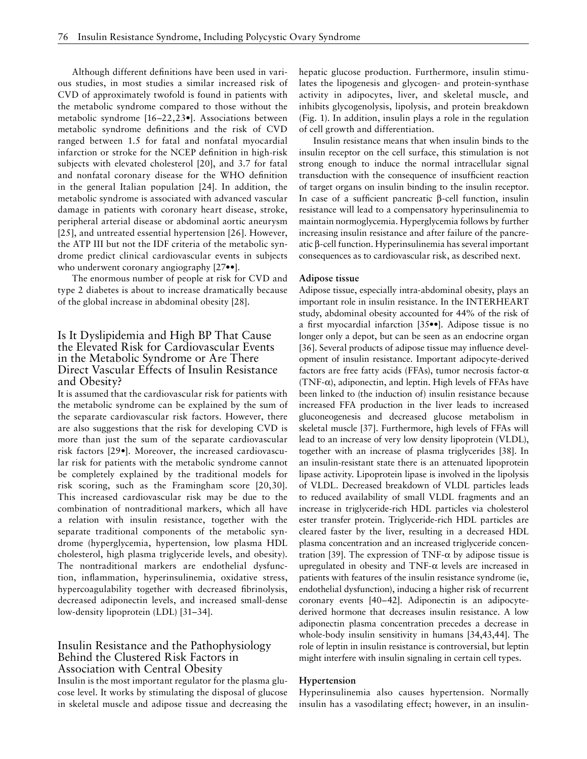Although different definitions have been used in various studies, in most studies a similar increased risk of CVD of approximately twofold is found in patients with the metabolic syndrome compared to those without the metabolic syndrome [16–22,23•]. Associations between metabolic syndrome definitions and the risk of CVD ranged between 1.5 for fatal and nonfatal myocardial infarction or stroke for the NCEP definition in high-risk subjects with elevated cholesterol [20], and 3.7 for fatal and nonfatal coronary disease for the WHO definition in the general Italian population [24]. In addition, the metabolic syndrome is associated with advanced vascular damage in patients with coronary heart disease, stroke, peripheral arterial disease or abdominal aortic aneurysm [25], and untreated essential hypertension [26]. However, the ATP III but not the IDF criteria of the metabolic syndrome predict clinical cardiovascular events in subjects who underwent coronary angiography [27••].

The enormous number of people at risk for CVD and type 2 diabetes is about to increase dramatically because of the global increase in abdominal obesity [28].

## Is It Dyslipidemia and High BP That Cause the Elevated Risk for Cardiovascular Events in the Metabolic Syndrome or Are There Direct Vascular Effects of Insulin Resistance and Obesity?

It is assumed that the cardiovascular risk for patients with the metabolic syndrome can be explained by the sum of the separate cardiovascular risk factors. However, there are also suggestions that the risk for developing CVD is more than just the sum of the separate cardiovascular risk factors [29•]. Moreover, the increased cardiovascular risk for patients with the metabolic syndrome cannot be completely explained by the traditional models for risk scoring, such as the Framingham score [20,30]. This increased cardiovascular risk may be due to the combination of nontraditional markers, which all have a relation with insulin resistance, together with the separate traditional components of the metabolic syndrome (hyperglycemia, hypertension, low plasma HDL cholesterol, high plasma triglyceride levels, and obesity). The nontraditional markers are endothelial dysfunction, inflammation, hyperinsulinemia, oxidative stress, hypercoagulability together with decreased fibrinolysis, decreased adiponectin levels, and increased small-dense low-density lipoprotein (LDL) [31–34].

## Insulin Resistance and the Pathophysiology Behind the Clustered Risk Factors in Association with Central Obesity

Insulin is the most important regulator for the plasma glucose level. It works by stimulating the disposal of glucose in skeletal muscle and adipose tissue and decreasing the hepatic glucose production. Furthermore, insulin stimulates the lipogenesis and glycogen- and protein-synthase activity in adipocytes, liver, and skeletal muscle, and inhibits glycogenolysis, lipolysis, and protein breakdown (Fig. 1). In addition, insulin plays a role in the regulation of cell growth and differentiation.

Insulin resistance means that when insulin binds to the insulin receptor on the cell surface, this stimulation is not strong enough to induce the normal intracellular signal transduction with the consequence of insufficient reaction of target organs on insulin binding to the insulin receptor. In case of a sufficient pancreatic  $\beta$ -cell function, insulin resistance will lead to a compensatory hyperinsulinemia to maintain normoglycemia. Hyperglycemia follows by further increasing insulin resistance and after failure of the pancreatic  $\beta$ -cell function. Hyperinsulinemia has several important consequences as to cardiovascular risk, as described next.

#### **Adipose tissue**

Adipose tissue, especially intra-abdominal obesity, plays an important role in insulin resistance. In the INTERHEART study, abdominal obesity accounted for 44% of the risk of a first myocardial infarction [35••]. Adipose tissue is no longer only a depot, but can be seen as an endocrine organ [36]. Several products of adipose tissue may influence development of insulin resistance. Important adipocyte-derived factors are free fatty acids (FFAs), tumor necrosis factor- $\alpha$  $(TNF-\alpha)$ , adiponectin, and leptin. High levels of FFAs have been linked to (the induction of) insulin resistance because increased FFA production in the liver leads to increased gluconeogenesis and decreased glucose metabolism in skeletal muscle [37]. Furthermore, high levels of FFAs will lead to an increase of very low density lipoprotein (VLDL), together with an increase of plasma triglycerides [38]. In an insulin-resistant state there is an attenuated lipoprotein lipase activity. Lipoprotein lipase is involved in the lipolysis of VLDL. Decreased breakdown of VLDL particles leads to reduced availability of small VLDL fragments and an increase in triglyceride-rich HDL particles via cholesterol ester transfer protein. Triglyceride-rich HDL particles are cleared faster by the liver, resulting in a decreased HDL plasma concentration and an increased triglyceride concentration [39]. The expression of TNF- $\alpha$  by adipose tissue is upregulated in obesity and  $TNF-\alpha$  levels are increased in patients with features of the insulin resistance syndrome (ie, endothelial dysfunction), inducing a higher risk of recurrent coronary events [40–42]. Adiponectin is an adipocytederived hormone that decreases insulin resistance. A low adiponectin plasma concentration precedes a decrease in whole-body insulin sensitivity in humans [34,43,44]. The role of leptin in insulin resistance is controversial, but leptin might interfere with insulin signaling in certain cell types.

## **Hypertension**

Hyperinsulinemia also causes hypertension. Normally insulin has a vasodilating effect; however, in an insulin-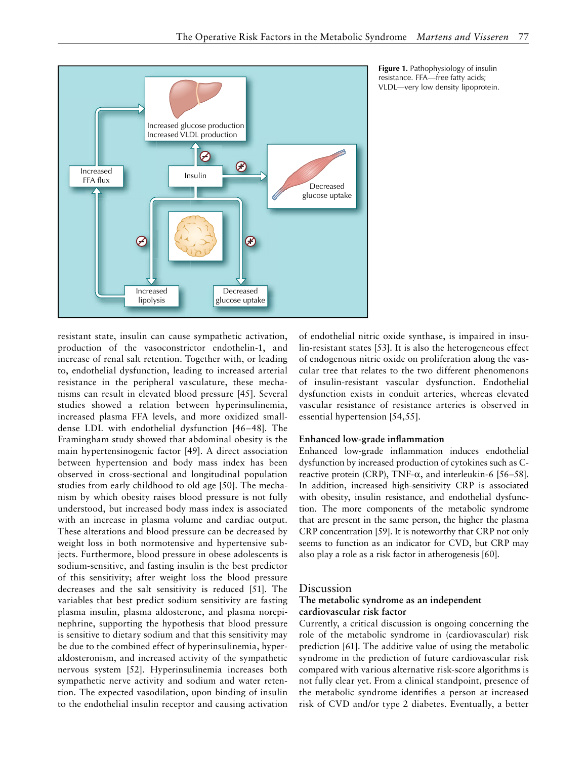

**Figure 1.** Pathophysiology of insulin resistance. FFA—free fatty acids; VLDL—very low density lipoprotein.

resistant state, insulin can cause sympathetic activation, production of the vasoconstrictor endothelin-1, and increase of renal salt retention. Together with, or leading to, endothelial dysfunction, leading to increased arterial resistance in the peripheral vasculature, these mechanisms can result in elevated blood pressure [45]. Several studies showed a relation between hyperinsulinemia, increased plasma FFA levels, and more oxidized smalldense LDL with endothelial dysfunction [46–48]. The Framingham study showed that abdominal obesity is the main hypertensinogenic factor [49]. A direct association between hypertension and body mass index has been observed in cross-sectional and longitudinal population studies from early childhood to old age [50]. The mechanism by which obesity raises blood pressure is not fully understood, but increased body mass index is associated with an increase in plasma volume and cardiac output. These alterations and blood pressure can be decreased by weight loss in both normotensive and hypertensive subjects. Furthermore, blood pressure in obese adolescents is sodium-sensitive, and fasting insulin is the best predictor of this sensitivity; after weight loss the blood pressure decreases and the salt sensitivity is reduced [51]. The variables that best predict sodium sensitivity are fasting plasma insulin, plasma aldosterone, and plasma norepinephrine, supporting the hypothesis that blood pressure is sensitive to dietary sodium and that this sensitivity may be due to the combined effect of hyperinsulinemia, hyperaldosteronism, and increased activity of the sympathetic nervous system [52]. Hyperinsulinemia increases both sympathetic nerve activity and sodium and water retention. The expected vasodilation, upon binding of insulin to the endothelial insulin receptor and causing activation

of endothelial nitric oxide synthase, is impaired in insulin-resistant states [53]. It is also the heterogeneous effect of endogenous nitric oxide on proliferation along the vascular tree that relates to the two different phenomenons of insulin-resistant vascular dysfunction. Endothelial dysfunction exists in conduit arteries, whereas elevated vascular resistance of resistance arteries is observed in essential hypertension [54,55].

#### **Enhanced low-grade inflammation**

Enhanced low-grade inflammation induces endothelial dysfunction by increased production of cytokines such as Creactive protein (CRP), TNF- $\alpha$ , and interleukin-6 [56–58]. In addition, increased high-sensitivity CRP is associated with obesity, insulin resistance, and endothelial dysfunction. The more components of the metabolic syndrome that are present in the same person, the higher the plasma CRP concentration [59]. It is noteworthy that CRP not only seems to function as an indicator for CVD, but CRP may also play a role as a risk factor in atherogenesis [60].

#### Discussion

## **The metabolic syndrome as an independent cardiovascular risk factor**

Currently, a critical discussion is ongoing concerning the role of the metabolic syndrome in (cardiovascular) risk prediction [61]. The additive value of using the metabolic syndrome in the prediction of future cardiovascular risk compared with various alternative risk-score algorithms is not fully clear yet. From a clinical standpoint, presence of the metabolic syndrome identifies a person at increased risk of CVD and/or type 2 diabetes. Eventually, a better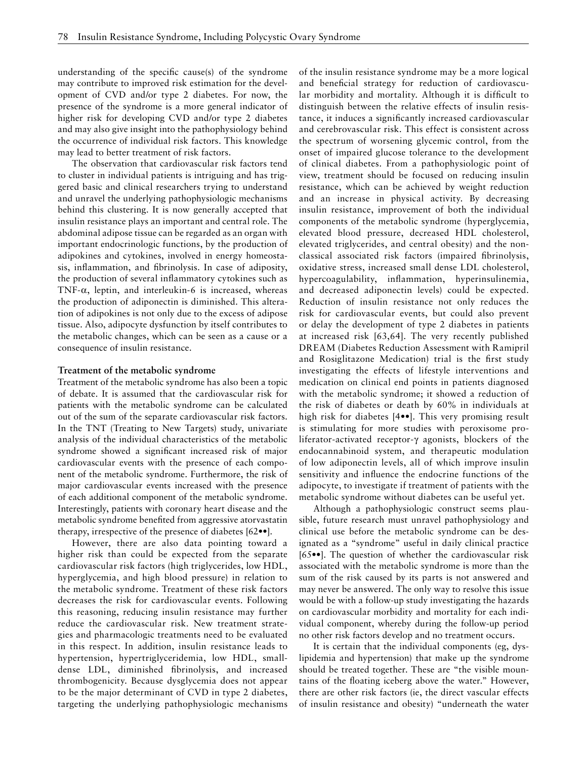understanding of the specific cause(s) of the syndrome may contribute to improved risk estimation for the development of CVD and/or type 2 diabetes. For now, the presence of the syndrome is a more general indicator of higher risk for developing CVD and/or type 2 diabetes and may also give insight into the pathophysiology behind the occurrence of individual risk factors. This knowledge may lead to better treatment of risk factors.

The observation that cardiovascular risk factors tend to cluster in individual patients is intriguing and has triggered basic and clinical researchers trying to understand and unravel the underlying pathophysiologic mechanisms behind this clustering. It is now generally accepted that insulin resistance plays an important and central role. The abdominal adipose tissue can be regarded as an organ with important endocrinologic functions, by the production of adipokines and cytokines, involved in energy homeostasis, inflammation, and fibrinolysis. In case of adiposity, the production of several inflammatory cytokines such as TNF- $\alpha$ , leptin, and interleukin-6 is increased, whereas the production of adiponectin is diminished. This alteration of adipokines is not only due to the excess of adipose tissue. Also, adipocyte dysfunction by itself contributes to the metabolic changes, which can be seen as a cause or a consequence of insulin resistance.

#### **Treatment of the metabolic syndrome**

Treatment of the metabolic syndrome has also been a topic of debate. It is assumed that the cardiovascular risk for patients with the metabolic syndrome can be calculated out of the sum of the separate cardiovascular risk factors. In the TNT (Treating to New Targets) study, univariate analysis of the individual characteristics of the metabolic syndrome showed a significant increased risk of major cardiovascular events with the presence of each component of the metabolic syndrome. Furthermore, the risk of major cardiovascular events increased with the presence of each additional component of the metabolic syndrome. Interestingly, patients with coronary heart disease and the metabolic syndrome benefited from aggressive atorvastatin therapy, irrespective of the presence of diabetes [62••].

However, there are also data pointing toward a higher risk than could be expected from the separate cardiovascular risk factors (high triglycerides, low HDL, hyperglycemia, and high blood pressure) in relation to the metabolic syndrome. Treatment of these risk factors decreases the risk for cardiovascular events. Following this reasoning, reducing insulin resistance may further reduce the cardiovascular risk. New treatment strategies and pharmacologic treatments need to be evaluated in this respect. In addition, insulin resistance leads to hypertension, hypertriglyceridemia, low HDL, smalldense LDL, diminished fibrinolysis, and increased thrombogenicity. Because dysglycemia does not appear to be the major determinant of CVD in type 2 diabetes, targeting the underlying pathophysiologic mechanisms of the insulin resistance syndrome may be a more logical and beneficial strategy for reduction of cardiovascular morbidity and mortality. Although it is difficult to distinguish between the relative effects of insulin resistance, it induces a significantly increased cardiovascular and cerebrovascular risk. This effect is consistent across the spectrum of worsening glycemic control, from the onset of impaired glucose tolerance to the development of clinical diabetes. From a pathophysiologic point of view, treatment should be focused on reducing insulin resistance, which can be achieved by weight reduction and an increase in physical activity. By decreasing insulin resistance, improvement of both the individual components of the metabolic syndrome (hyperglycemia, elevated blood pressure, decreased HDL cholesterol, elevated triglycerides, and central obesity) and the nonclassical associated risk factors (impaired fibrinolysis, oxidative stress, increased small dense LDL cholesterol, hypercoagulability, inflammation, hyperinsulinemia, and decreased adiponectin levels) could be expected. Reduction of insulin resistance not only reduces the risk for cardiovascular events, but could also prevent or delay the development of type 2 diabetes in patients at increased risk [63,64]. The very recently published DREAM (Diabetes Reduction Assessment with Ramipril and Rosiglitazone Medication) trial is the first study investigating the effects of lifestyle interventions and medication on clinical end points in patients diagnosed with the metabolic syndrome; it showed a reduction of the risk of diabetes or death by 60% in individuals at high risk for diabetes [4••]. This very promising result is stimulating for more studies with peroxisome proliferator-activated receptor- $\gamma$  agonists, blockers of the endocannabinoid system, and therapeutic modulation of low adiponectin levels, all of which improve insulin sensitivity and influence the endocrine functions of the adipocyte, to investigate if treatment of patients with the metabolic syndrome without diabetes can be useful yet.

Although a pathophysiologic construct seems plausible, future research must unravel pathophysiology and clinical use before the metabolic syndrome can be designated as a "syndrome" useful in daily clinical practice [65••]. The question of whether the cardiovascular risk associated with the metabolic syndrome is more than the sum of the risk caused by its parts is not answered and may never be answered. The only way to resolve this issue would be with a follow-up study investigating the hazards on cardiovascular morbidity and mortality for each individual component, whereby during the follow-up period no other risk factors develop and no treatment occurs.

It is certain that the individual components (eg, dyslipidemia and hypertension) that make up the syndrome should be treated together. These are "the visible mountains of the floating iceberg above the water." However, there are other risk factors (ie, the direct vascular effects of insulin resistance and obesity) "underneath the water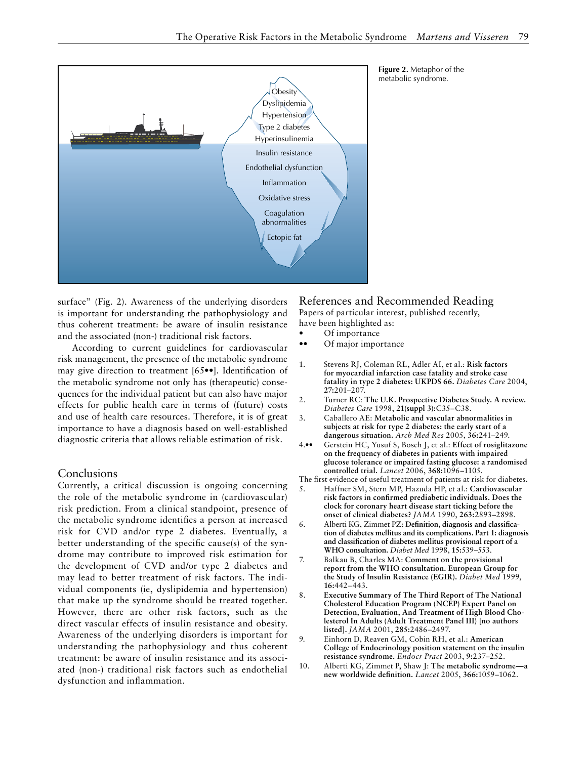

surface" (Fig. 2). Awareness of the underlying disorders is important for understanding the pathophysiology and thus coherent treatment: be aware of insulin resistance and the associated (non-) traditional risk factors.

According to current guidelines for cardiovascular risk management, the presence of the metabolic syndrome may give direction to treatment [65••]. Identification of the metabolic syndrome not only has (therapeutic) consequences for the individual patient but can also have major effects for public health care in terms of (future) costs and use of health care resources. Therefore, it is of great importance to have a diagnosis based on well-established diagnostic criteria that allows reliable estimation of risk.

## Conclusions

Currently, a critical discussion is ongoing concerning the role of the metabolic syndrome in (cardiovascular) risk prediction. From a clinical standpoint, presence of the metabolic syndrome identifies a person at increased risk for CVD and/or type 2 diabetes. Eventually, a better understanding of the specific cause(s) of the syndrome may contribute to improved risk estimation for the development of CVD and/or type 2 diabetes and may lead to better treatment of risk factors. The individual components (ie, dyslipidemia and hypertension) that make up the syndrome should be treated together. However, there are other risk factors, such as the direct vascular effects of insulin resistance and obesity. Awareness of the underlying disorders is important for understanding the pathophysiology and thus coherent treatment: be aware of insulin resistance and its associated (non-) traditional risk factors such as endothelial dysfunction and inflammation.

## References and Recommended Reading

- Papers of particular interest, published recently, have been highlighted as:
	- Of importance
	- Of major importance
	- 1. Stevens RJ, Coleman RL, Adler AI, et al.: **Risk factors for myocardial infarction case fatality and stroke case fatality in type 2 diabetes: UKPDS 66.** *Diabetes Care* 2004, **27:**201–207.
	- 2. Turner RC: **The U.K. Prospective Diabetes Study. A review.**  *Diabetes Care* 1998, **21(suppl 3):**C35–C38.
	- 3. Caballero AE: **Metabolic and vascular abnormalities in subjects at risk for type 2 diabetes: the early start of a dangerous situation.** *Arch Med Res* 2005, **36:**241–249.
	- 4.•• Gerstein HC, Yusuf S, Bosch J, et al.: **Effect of rosiglitazone on the frequency of diabetes in patients with impaired glucose tolerance or impaired fasting glucose: a randomised controlled trial.** *Lancet* 2006, **368:**1096–1105.
	- The first evidence of useful treatment of patients at risk for diabetes. 5. Haffner SM, Stern MP, Hazuda HP, et al.: **Cardiovascular risk factors in confirmed prediabetic individuals. Does the clock for coronary heart disease start ticking before the onset of clinical diabetes?** *JAMA* 1990, **263:**2893–2898.
	- 6. Alberti KG, Zimmet PZ: **Definition, diagnosis and classification of diabetes mellitus and its complications. Part 1: diagnosis and classification of diabetes mellitus provisional report of a WHO consultation.** *Diabet Med* 1998, **15:**539–553.
	- 7. Balkau B, Charles MA: **Comment on the provisional report from the WHO consultation. European Group for the Study of Insulin Resistance (EGIR).** *Diabet Med* 1999, **16:**442–443.
	- 8. **Executive Summary of The Third Report of The National Cholesterol Education Program (NCEP) Expert Panel on Detection, Evaluation, And Treatment of High Blood Cholesterol In Adults (Adult Treatment Panel III)** [**no authors listed**]**.** *JAMA* 2001, **285:**2486–2497.
	- 9. Einhorn D, Reaven GM, Cobin RH, et al.: **American College of Endocrinology position statement on the insulin resistance syndrome.** *Endocr Pract* 2003, **9:**237–252.
	- 10. Alberti KG, Zimmet P, Shaw J: **The metabolic syndrome—a new worldwide definition.** *Lancet* 2005, **366:**1059–1062.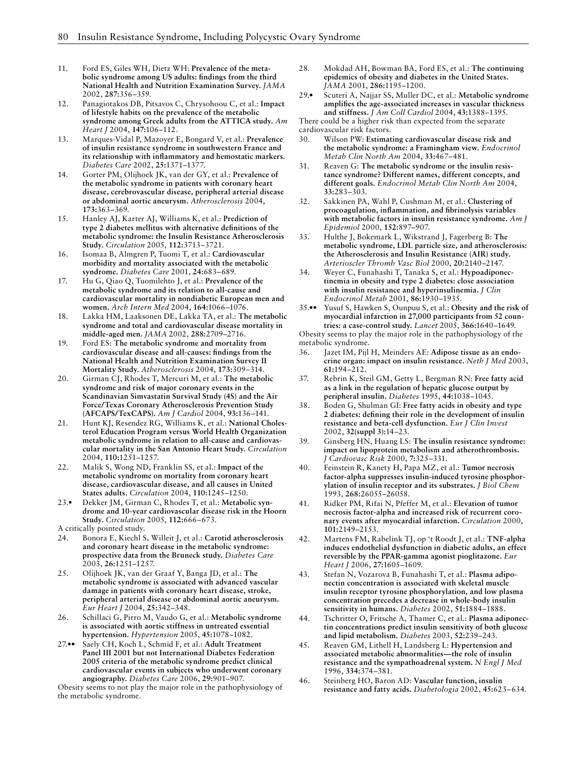- 11. Ford ES, Giles WH, Dietz WH: **Prevalence of the metabolic syndrome among US adults: findings from the third National Health and Nutrition Examination Survey.** *JAMA*  2002, **287:**356–359.
- 12. Panagiotakos DB, Pitsavos C, Chrysohoou C, et al.: **Impact of lifestyle habits on the prevalence of the metabolic syndrome among Greek adults from the ATTICA study.** *Am Heart J* 2004, **147:**106–112.
- 13. Marques-Vidal P, Mazoyer E, Bongard V, et al.: **Prevalence of insulin resistance syndrome in southwestern France and its relationship with inflammatory and hemostatic markers.**  *Diabetes Care* 2002, **25:**1371–1377.
- 14. Gorter PM, Olijhoek JK, van der GY, et al.: **Prevalence of the metabolic syndrome in patients with coronary heart disease, cerebrovascular disease, peripheral arterial disease or abdominal aortic aneurysm.** *Atherosclerosis* 2004, **173:**363–369.
- 15. Hanley AJ, Karter AJ, Williams K, et al.: **Prediction of type 2 diabetes mellitus with alternative definitions of the metabolic syndrome: the Insulin Resistance Atherosclerosis Study.** *Circulation* 2005, **112:**3713–3721.
- 16. Isomaa B, Almgren P, Tuomi T, et al.: **Cardiovascular morbidity and mortality associated with the metabolic syndrome.** *Diabetes Care* 2001, **24:**683–689.
- 17. Hu G, Qiao Q, Tuomilehto J, et al.: **Prevalence of the metabolic syndrome and its relation to all-cause and cardiovascular mortality in nondiabetic European men and women.** *Arch Intern Med* 2004, **164:**1066–1076.
- 18. Lakka HM, Laaksonen DE, Lakka TA, et al.: **The metabolic syndrome and total and cardiovascular disease mortality in middle-aged men.** *JAMA* 2002, **288:**2709–2716.
- 19. Ford ES: **The metabolic syndrome and mortality from cardiovascular disease and all-causes: findings from the National Health and Nutrition Examination Survey II Mortality Study.** *Atherosclerosis* 2004, **173:**309–314.
- 20. Girman CJ, Rhodes T, Mercuri M, et al.: **The metabolic syndrome and risk of major coronary events in the Scandinavian Simvastatin Survival Study (4S) and the Air Force/Texas Coronary Atherosclerosis Prevention Study (AFCAPS/TexCAPS).** *Am J Cardiol* 2004, **93:**136–141.
- 21. Hunt KJ, Resendez RG, Williams K, et al.: **National Cholesterol Education Program versus World Health Organization metabolic syndrome in relation to all-cause and cardiovascular mortality in the San Antonio Heart Study.** *Circulation*  2004, **110:**1251–1257.
- 22. Malik S, Wong ND, Franklin SS, et al.: **Impact of the metabolic syndrome on mortality from coronary heart disease, cardiovascular disease, and all causes in United States adults.** *Circulation* 2004, **110:**1245–1250.
- 23.• Dekker JM, Girman C, Rhodes T, et al.: **Metabolic syndrome and 10-year cardiovascular disease risk in the Hoorn Study.** *Circulation* 2005, **112:**666–673.
- A critically pointed study.
- 24. Bonora E, Kiechl S, Willeit J, et al.: **Carotid atherosclerosis and coronary heart disease in the metabolic syndrome: prospective data from the Bruneck study.** *Diabetes Care*  2003, **26:**1251–1257.
- 25. Olijhoek JK, van der Graaf Y, Banga JD, et al.: **The metabolic syndrome is associated with advanced vascular damage in patients with coronary heart disease, stroke, peripheral arterial disease or abdominal aortic aneurysm.**  *Eur Heart J* 2004, **25:**342–348.
- 26. Schillaci G, Pirro M, Vaudo G, et al.: **Metabolic syndrome is associated with aortic stiffness in untreated essential hypertension.** *Hypertension* 2005, **45:**1078–1082.
- 27.•• Saely CH, Koch L, Schmid F, et al.: **Adult Treatment Panel III 2001 but not International Diabetes Federation 2005 criteria of the metabolic syndrome predict clinical cardiovascular events in subjects who underwent coronary angiography.** *Diabetes Care* 2006, **29:**901–907.

Obesity seems to not play the major role in the pathophysiology of the metabolic syndrome.

- 28. Mokdad AH, Bowman BA, Ford ES, et al.: **The continuing epidemics of obesity and diabetes in the United States.**  *JAMA* 2001, **286:**1195–1200.
- 29.• Scuteri A, Najjar SS, Muller DC, et al.: **Metabolic syndrome amplifies the age-associated increases in vascular thickness and stiffness.** *J Am Coll Cardiol* 2004, **43:**1388–1395.

There could be a higher risk than expected from the separate cardiovascular risk factors.

- 30. Wilson PW: **Estimating cardiovascular disease risk and the metabolic syndrome: a Framingham view.** *Endocrinol Metab Clin North Am* 2004, **33:**467–481.
- 31. Reaven G: **The metabolic syndrome or the insulin resistance syndrome? Different names, different concepts, and different goals.** *Endocrinol Metab Clin North Am* 2004, **33:**283–303.
- 32. Sakkinen PA, Wahl P, Cushman M, et al.: **Clustering of procoagulation, inflammation, and fibrinolysis variables with metabolic factors in insulin resistance syndrome.** *Am J Epidemiol* 2000, **152:**897–907.
- 33. Hulthe J, Bokemark L, Wikstrand J, Fagerberg B: **The metabolic syndrome, LDL particle size, and atherosclerosis: the Atherosclerosis and Insulin Resistance (AIR) study.**  *Arterioscler Thromb Vasc Biol* 2000, **20:**2140–2147.
- 34. Weyer C, Funahashi T, Tanaka S, et al.: **Hypoadiponectinemia in obesity and type 2 diabetes: close association with insulin resistance and hyperinsulinemia.** *J Clin Endocrinol Metab* 2001, **86:**1930–1935.
- 35.•• Yusuf S, Hawken S, Ounpuu S, et al.: **Obesity and the risk of myocardial infarction in 27,000 participants from 52 countries: a case-control study.** *Lancet* 2005, **366:**1640–1649.

Obesity seems to play the major role in the pathophysiology of the metabolic syndrome.

- 36. Jazet IM, Pijl H, Meinders AE: **Adipose tissue as an endocrine organ: impact on insulin resistance.** *Neth J Med* 2003, **61:**194–212.
- 37. Rebrin K, Steil GM, Getty L, Bergman RN: **Free fatty acid as a link in the regulation of hepatic glucose output by peripheral insulin.** *Diabetes* 1995, **44:**1038–1045.
- 38. Boden G, Shulman GI: **Free fatty acids in obesity and type 2 diabetes: defining their role in the development of insulin resistance and beta-cell dysfunction.** *Eur J Clin Invest*  2002, **32(suppl 3):**14–23.
- 39. Ginsberg HN, Huang LS: **The insulin resistance syndrome: impact on lipoprotein metabolism and atherothrombosis.**  *J Cardiovasc Risk* 2000, **7:**325–331.
- 40. Feinstein R, Kanety H, Papa MZ, et al.: **Tumor necrosis factor-alpha suppresses insulin-induced tyrosine phosphorylation of insulin receptor and its substrates.** *J Biol Chem*  1993, **268:**26055–26058.
- 41. Ridker PM, Rifai N, Pfeffer M, et al.: **Elevation of tumor necrosis factor-alpha and increased risk of recurrent coronary events after myocardial infarction.** *Circulation* 2000, **101:**2149–2153.
- 42. Martens FM, Rabelink TJ, op 't Roodt J, et al.: **TNF-alpha induces endothelial dysfunction in diabetic adults, an effect reversible by the PPAR-gamma agonist pioglitazone.** *Eur Heart J* 2006, **27:**1605–1609.
- 43. Stefan N, Vozarova B, Funahashi T, et al.: **Plasma adiponectin concentration is associated with skeletal muscle insulin receptor tyrosine phosphorylation, and low plasma concentration precedes a decrease in whole-body insulin sensitivity in humans.** *Diabetes* 2002, **51:**1884–1888.
- 44. Tschritter O, Fritsche A, Thamer C, et al.: **Plasma adiponectin concentrations predict insulin sensitivity of both glucose and lipid metabolism.** *Diabetes* 2003, **52:**239–243.
- 45. Reaven GM, Lithell H, Landsberg L: **Hypertension and associated metabolic abnormalities—the role of insulin resistance and the sympathoadrenal system.** *N Engl J Med*  1996, **334:**374–381.
- 46. Steinberg HO, Baron AD: **Vascular function, insulin resistance and fatty acids.** *Diabetologia* 2002, **45:**623–634.